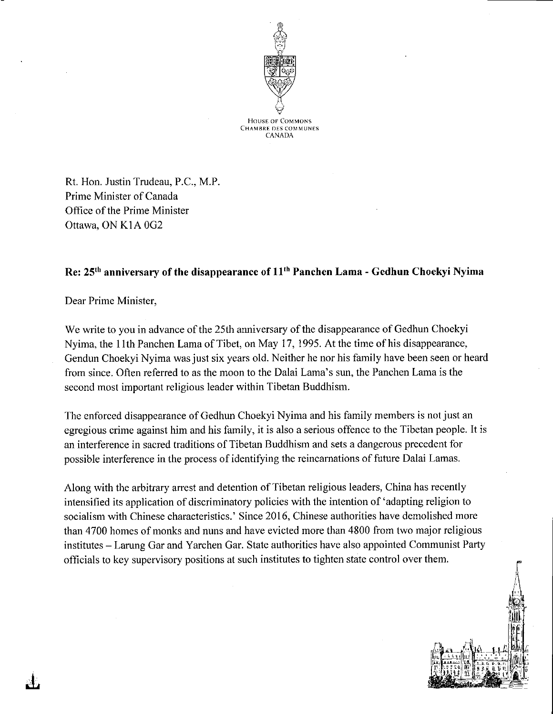

**HOUSE OF COMMONS CHAMBRE DES COMMUNES CANADA** 

Rt. Hon. Justin Trudeau, P.C., M.P. Prime Minister of Canada Office of the Prime Minister Ottawa, ON K1A 0G2

## Re: 25<sup>th</sup> anniversary of the disappearance of 11<sup>th</sup> Panchen Lama - Gedhun Choekyi Nyima

Dear Prime Minister,

We write to you in advance of the 25th anniversary of the disappearance of Gedhun Choekyi Nyima, the 11th Panchen Lama of Tibet, on May 17, 1995. At the time of his disappearance, Gendun Choekyi Nyima was just six years old. Neither he nor his family have been seen or heard from since. Often referred to as the moon to the Dalai Lama's sun, the Panchen Lama is the second most important religious leader within Tibetan Buddhism.

The enforced disappearance of Gedhun Choekyi Nyima and his family members is not just an egregious crime against him and his family, it is also a serious offence to the Tibetan people. It is an interference in sacred traditions of Tibetan Buddhism and sets a dangerous precedent for possible interference in the process of identifying the reincarnations of future Dalai Lamas.

Along with the arbitrary arrest and detention of Tibetan religious leaders, China has recently intensified its application of discriminatory policies with the intention of 'adapting religion to socialism with Chinese characteristics.' Since 2016, Chinese authorities have demolished more than 4700 homes of monks and nuns and have evicted more than 4800 from two major religious institutes – Larung Gar and Yarchen Gar. State authorities have also appointed Communist Party officials to key supervisory positions at such institutes to tighten state control over them.

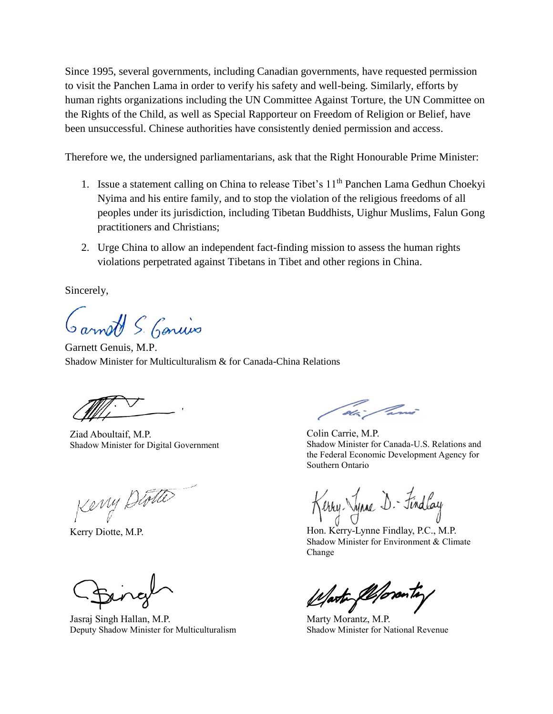Since 1995, several governments, including Canadian governments, have requested permission to visit the Panchen Lama in order to verify his safety and well-being. Similarly, efforts by human rights organizations including the UN Committee Against Torture, the UN Committee on the Rights of the Child, as well as Special Rapporteur on Freedom of Religion or Belief, have been unsuccessful. Chinese authorities have consistently denied permission and access.

Therefore we, the undersigned parliamentarians, ask that the Right Honourable Prime Minister:

- 1. Issue a statement calling on China to release Tibet's 11<sup>th</sup> Panchen Lama Gedhun Choekvi Nyima and his entire family, and to stop the violation of the religious freedoms of all peoples under its jurisdiction, including Tibetan Buddhists, Uighur Muslims, Falun Gong practitioners and Christians;
- 2. Urge China to allow an independent fact-finding mission to assess the human rights violations perpetrated against Tibetans in Tibet and other regions in China.

Sincerely,

Garnott S. Gonius

Garnett Genuis, M.P. Shadow Minister for Multiculturalism & for Canada-China Relations

Ziad Aboultaif, M.P. Shadow Minister for Digital Government

Keny Diotte

Jasraj Singh Hallan, M.P. Deputy Shadow Minister for Multiculturalism

dia Panis

Colin Carrie, M.P. Shadow Minister for Canada-U.S. Relations and the Federal Economic Development Agency for Southern Ontario

Keny *Diotte*<br>Kerry Diotte, M.P. Kerry-Lynne Findlay<br>Hon. Kerry-Lynne Findlay, P.C., M.P.

Shadow Minister for Environment & Climate Change

arte flepronty

Marty Morantz, M.P. Shadow Minister for National Revenue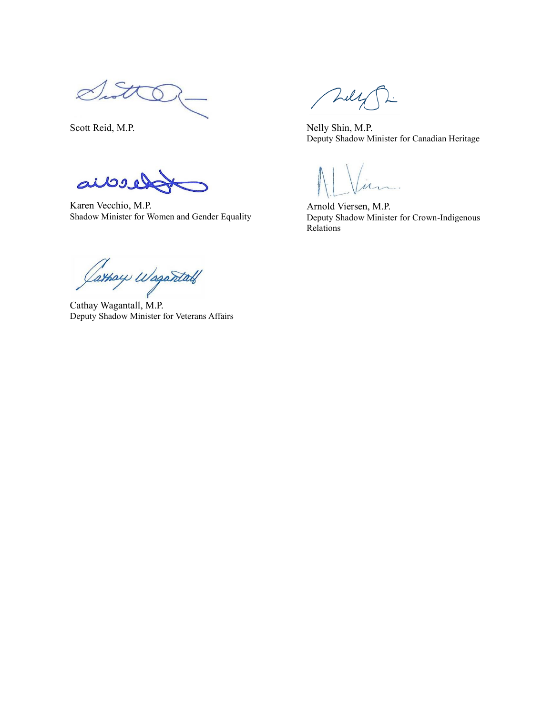Sitt

aibel

Karen Vecchio, M.P. Shadow Minister for Women and Gender Equality

Cathay Wagantah

Cathay Wagantall, M.P. Deputy Shadow Minister for Veterans Affairs

Tull

Scott Reid, M.P. Nelly Shin, M.P. Deputy Shadow Minister for Canadian Heritage

Arnold Viersen, M.P. Deputy Shadow Minister for Crown-Indigenous Relations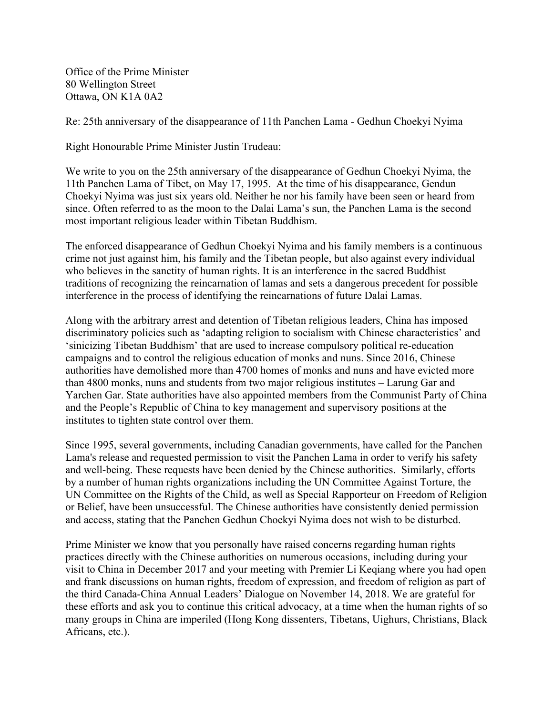Office of the Prime Minister 80 Wellington Street Ottawa, ON K1A 0A2

Re: 25th anniversary of the disappearance of 11th Panchen Lama - Gedhun Choekyi Nyima

Right Honourable Prime Minister Justin Trudeau:

We write to you on the 25th anniversary of the disappearance of Gedhun Choekyi Nyima, the 11th Panchen Lama of Tibet, on May 17, 1995. At the time of his disappearance, Gendun Choekyi Nyima was just six years old. Neither he nor his family have been seen or heard from since. Often referred to as the moon to the Dalai Lama's sun, the Panchen Lama is the second most important religious leader within Tibetan Buddhism.

The enforced disappearance of Gedhun Choekyi Nyima and his family members is a continuous crime not just against him, his family and the Tibetan people, but also against every individual who believes in the sanctity of human rights. It is an interference in the sacred Buddhist traditions of recognizing the reincarnation of lamas and sets a dangerous precedent for possible interference in the process of identifying the reincarnations of future Dalai Lamas.

Along with the arbitrary arrest and detention of Tibetan religious leaders, China has imposed discriminatory policies such as 'adapting religion to socialism with Chinese characteristics' and 'sinicizing Tibetan Buddhism' that are used to increase compulsory political re-education campaigns and to control the religious education of monks and nuns. Since 2016, Chinese authorities have demolished more than 4700 homes of monks and nuns and have evicted more than 4800 monks, nuns and students from two major religious institutes – Larung Gar and Yarchen Gar. State authorities have also appointed members from the Communist Party of China and the People's Republic of China to key management and supervisory positions at the institutes to tighten state control over them.

Since 1995, several governments, including Canadian governments, have called for the Panchen Lama's release and requested permission to visit the Panchen Lama in order to verify his safety and well-being. These requests have been denied by the Chinese authorities. Similarly, efforts by a number of human rights organizations including the UN Committee Against Torture, the UN Committee on the Rights of the Child, as well as Special Rapporteur on Freedom of Religion or Belief, have been unsuccessful. The Chinese authorities have consistently denied permission and access, stating that the Panchen Gedhun Choekyi Nyima does not wish to be disturbed.

Prime Minister we know that you personally have raised concerns regarding human rights practices directly with the Chinese authorities on numerous occasions, including during your visit to China in December 2017 and your meeting with Premier Li Keqiang where you had open and frank discussions on human rights, freedom of expression, and freedom of religion as part of the third Canada-China Annual Leaders' Dialogue on November 14, 2018. We are grateful for these efforts and ask you to continue this critical advocacy, at a time when the human rights of so many groups in China are imperiled (Hong Kong dissenters, Tibetans, Uighurs, Christians, Black Africans, etc.).